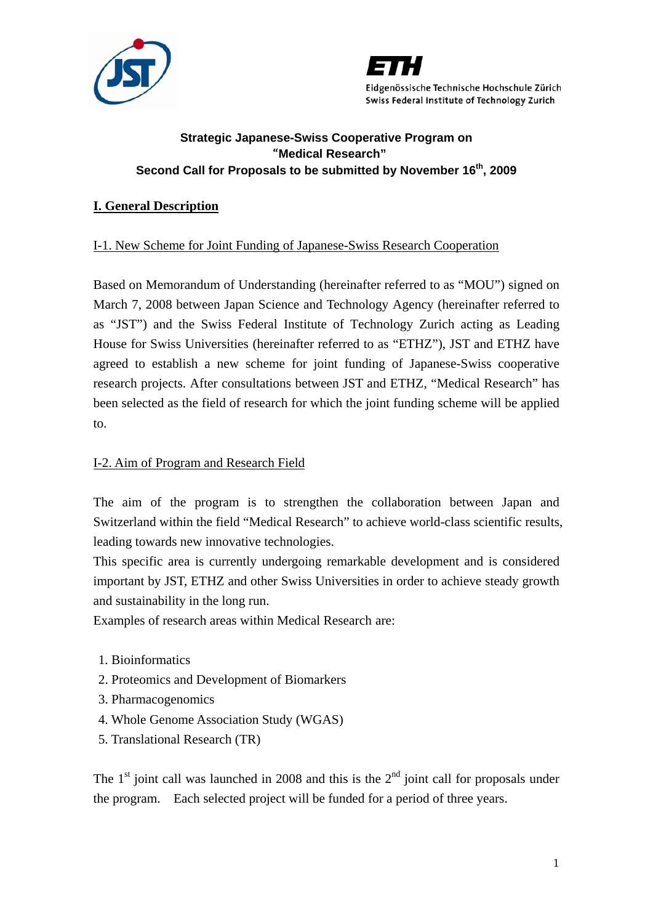



# **Strategic Japanese-Swiss Cooperative Program on**  "**Medical Research"**  Second Call for Proposals to be submitted by November 16<sup>th</sup>, 2009

# **I. General Description**

# I-1. New Scheme for Joint Funding of Japanese-Swiss Research Cooperation

Based on Memorandum of Understanding (hereinafter referred to as "MOU") signed on March 7, 2008 between Japan Science and Technology Agency (hereinafter referred to as "JST") and the Swiss Federal Institute of Technology Zurich acting as Leading House for Swiss Universities (hereinafter referred to as "ETHZ"), JST and ETHZ have agreed to establish a new scheme for joint funding of Japanese-Swiss cooperative research projects. After consultations between JST and ETHZ, "Medical Research" has been selected as the field of research for which the joint funding scheme will be applied to.

## I-2. Aim of Program and Research Field

The aim of the program is to strengthen the collaboration between Japan and Switzerland within the field "Medical Research" to achieve world-class scientific results, leading towards new innovative technologies.

This specific area is currently undergoing remarkable development and is considered important by JST, ETHZ and other Swiss Universities in order to achieve steady growth and sustainability in the long run.

Examples of research areas within Medical Research are:

- 1. Bioinformatics
- 2. Proteomics and Development of Biomarkers
- 3. Pharmacogenomics
- 4. Whole Genome Association Study (WGAS)
- 5. Translational Research (TR)

The  $1<sup>st</sup>$  joint call was launched in 2008 and this is the  $2<sup>nd</sup>$  joint call for proposals under the program. Each selected project will be funded for a period of three years.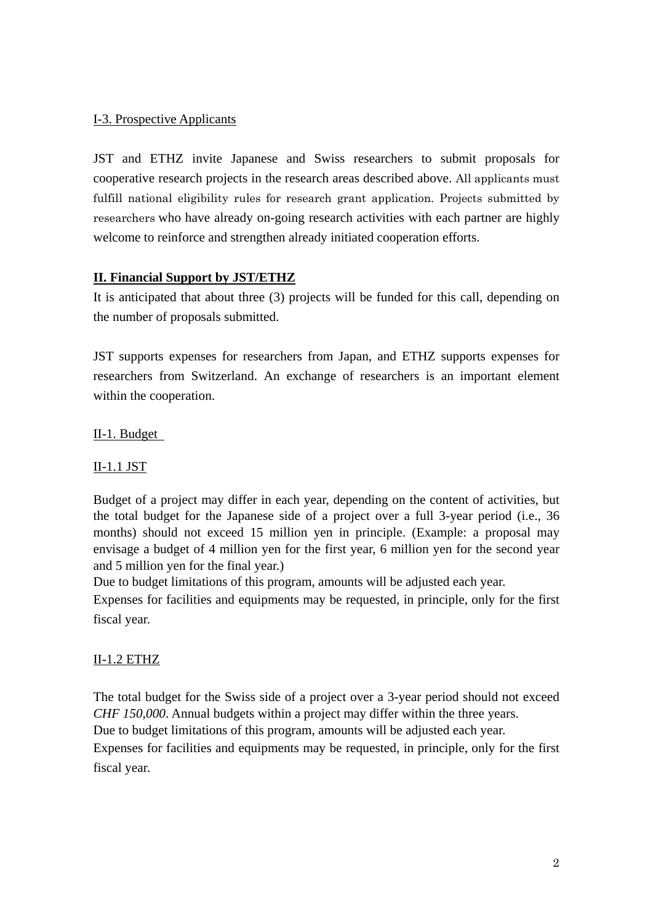# I-3. Prospective Applicants

JST and ETHZ invite Japanese and Swiss researchers to submit proposals for cooperative research projects in the research areas described above. All applicants must fulfill national eligibility rules for research grant application. Projects submitted by researchers who have already on-going research activities with each partner are highly welcome to reinforce and strengthen already initiated cooperation efforts.

# **II. Financial Support by JST/ETHZ**

It is anticipated that about three (3) projects will be funded for this call, depending on the number of proposals submitted.

JST supports expenses for researchers from Japan, and ETHZ supports expenses for researchers from Switzerland. An exchange of researchers is an important element within the cooperation.

# II-1. Budget

# II-1.1 JST

Budget of a project may differ in each year, depending on the content of activities, but the total budget for the Japanese side of a project over a full 3-year period (i.e., 36 months) should not exceed 15 million yen in principle. (Example: a proposal may envisage a budget of 4 million yen for the first year, 6 million yen for the second year and 5 million yen for the final year.)

Due to budget limitations of this program, amounts will be adjusted each year.

Expenses for facilities and equipments may be requested, in principle, only for the first fiscal year.

# II-1.2 ETHZ

The total budget for the Swiss side of a project over a 3-year period should not exceed *CHF 150,000*. Annual budgets within a project may differ within the three years.

Due to budget limitations of this program, amounts will be adjusted each year.

Expenses for facilities and equipments may be requested, in principle, only for the first fiscal year.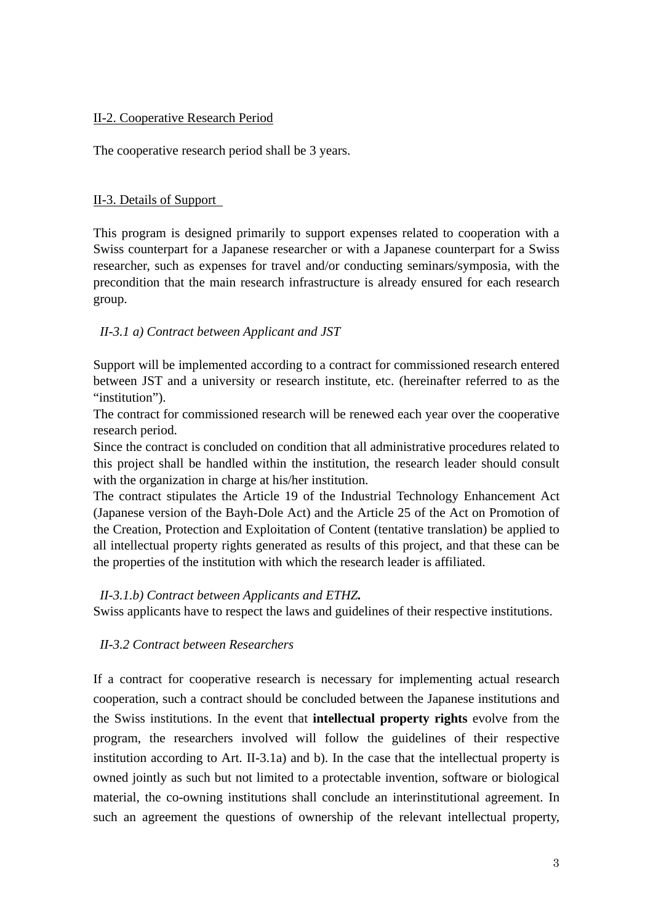## II-2. Cooperative Research Period

The cooperative research period shall be 3 years.

## II-3. Details of Support

This program is designed primarily to support expenses related to cooperation with a Swiss counterpart for a Japanese researcher or with a Japanese counterpart for a Swiss researcher, such as expenses for travel and/or conducting seminars/symposia, with the precondition that the main research infrastructure is already ensured for each research group.

## *II-3.1 a) Contract between Applicant and JST*

Support will be implemented according to a contract for commissioned research entered between JST and a university or research institute, etc. (hereinafter referred to as the "institution").

The contract for commissioned research will be renewed each year over the cooperative research period.

Since the contract is concluded on condition that all administrative procedures related to this project shall be handled within the institution, the research leader should consult with the organization in charge at his/her institution.

The contract stipulates the Article 19 of the Industrial Technology Enhancement Act (Japanese version of the Bayh-Dole Act) and the Article 25 of the Act on Promotion of the Creation, Protection and Exploitation of Content (tentative translation) be applied to all intellectual property rights generated as results of this project, and that these can be the properties of the institution with which the research leader is affiliated.

## *II-3.1.b) Contract between Applicants and ETHZ.*

Swiss applicants have to respect the laws and guidelines of their respective institutions.

## *II-3.2 Contract between Researchers*

If a contract for cooperative research is necessary for implementing actual research cooperation, such a contract should be concluded between the Japanese institutions and the Swiss institutions. In the event that **intellectual property rights** evolve from the program, the researchers involved will follow the guidelines of their respective institution according to Art. II-3.1a) and b). In the case that the intellectual property is owned jointly as such but not limited to a protectable invention, software or biological material, the co-owning institutions shall conclude an interinstitutional agreement. In such an agreement the questions of ownership of the relevant intellectual property,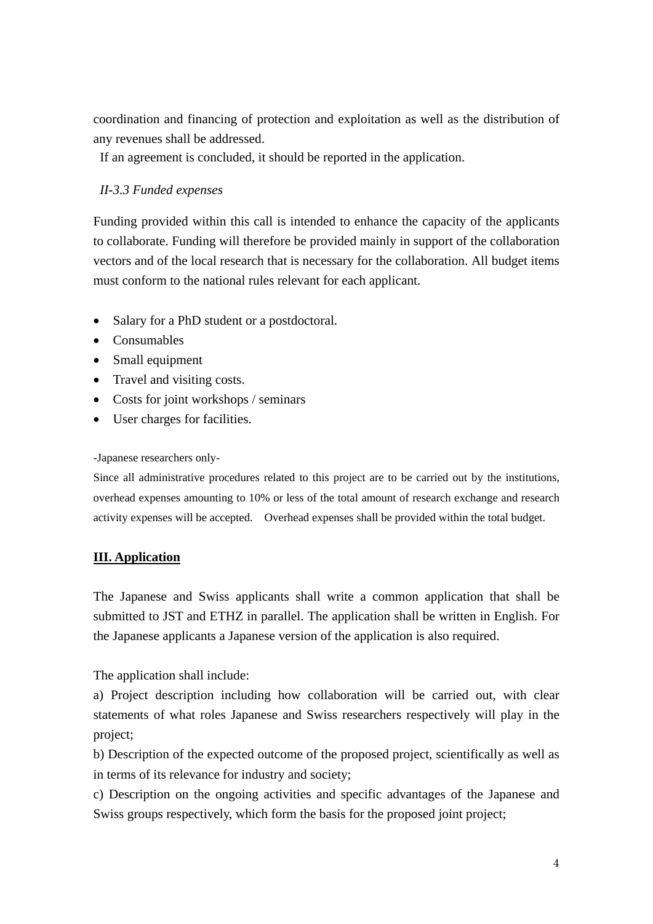coordination and financing of protection and exploitation as well as the distribution of any revenues shall be addressed.

If an agreement is concluded, it should be reported in the application.

# *II-3.3 Funded expenses*

Funding provided within this call is intended to enhance the capacity of the applicants to collaborate. Funding will therefore be provided mainly in support of the collaboration vectors and of the local research that is necessary for the collaboration. All budget items must conform to the national rules relevant for each applicant.

- Salary for a PhD student or a postdoctoral.
- Consumables
- Small equipment
- Travel and visiting costs.
- Costs for joint workshops / seminars
- User charges for facilities.

## -Japanese researchers only-

Since all administrative procedures related to this project are to be carried out by the institutions, overhead expenses amounting to 10% or less of the total amount of research exchange and research activity expenses will be accepted. Overhead expenses shall be provided within the total budget.

## **III. Application**

The Japanese and Swiss applicants shall write a common application that shall be submitted to JST and ETHZ in parallel. The application shall be written in English. For the Japanese applicants a Japanese version of the application is also required.

The application shall include:

a) Project description including how collaboration will be carried out, with clear statements of what roles Japanese and Swiss researchers respectively will play in the project;

b) Description of the expected outcome of the proposed project, scientifically as well as in terms of its relevance for industry and society;

c) Description on the ongoing activities and specific advantages of the Japanese and Swiss groups respectively, which form the basis for the proposed joint project;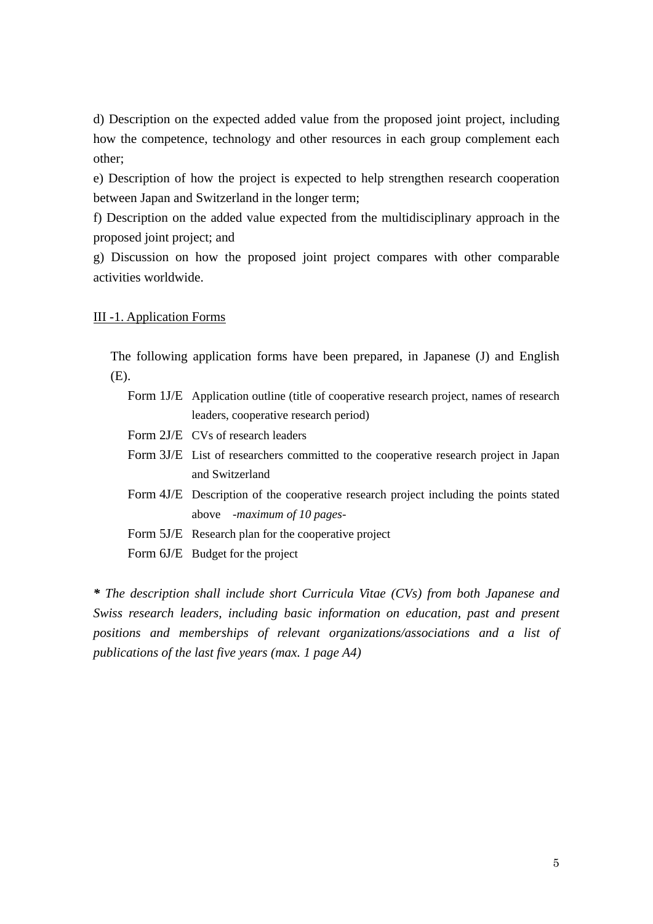d) Description on the expected added value from the proposed joint project, including how the competence, technology and other resources in each group complement each other;

e) Description of how the project is expected to help strengthen research cooperation between Japan and Switzerland in the longer term;

f) Description on the added value expected from the multidisciplinary approach in the proposed joint project; and

g) Discussion on how the proposed joint project compares with other comparable activities worldwide.

## III -1. Application Forms

The following application forms have been prepared, in Japanese (J) and English (E).

- Form 1J/E Application outline (title of cooperative research project, names of research leaders, cooperative research period)
- Form 2J/E CVs of research leaders
- Form 3J/E List of researchers committed to the cooperative research project in Japan and Switzerland
- Form 4J/E Description of the cooperative research project including the points stated above *-maximum of 10 pages-*
- Form 5J/E Research plan for the cooperative project
- Form 6J/E Budget for the project

*\* The description shall include short Curricula Vitae (CVs) from both Japanese and Swiss research leaders, including basic information on education, past and present positions and memberships of relevant organizations/associations and a list of publications of the last five years (max. 1 page A4)*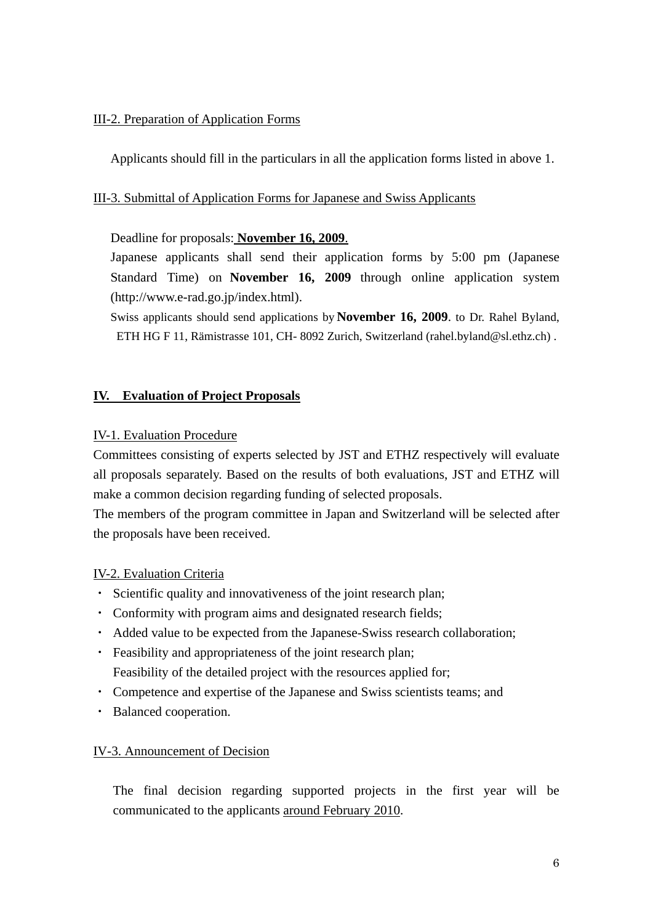## III-2. Preparation of Application Forms

Applicants should fill in the particulars in all the application forms listed in above 1.

## III-3. Submittal of Application Forms for Japanese and Swiss Applicants

## Deadline for proposals: **November 16, 2009**.

Japanese applicants shall send their application forms by 5:00 pm (Japanese Standard Time) on **November 16, 2009** through online application system (http://www.e-rad.go.jp/index.html).

Swiss applicants should send applications by **November 16, 2009**. to Dr. Rahel Byland, ETH HG F 11, Rämistrasse 101, CH- 8092 Zurich, Switzerland (rahel.byland@sl.ethz.ch) .

## **IV. Evaluation of Project Proposals**

## IV-1. Evaluation Procedure

Committees consisting of experts selected by JST and ETHZ respectively will evaluate all proposals separately. Based on the results of both evaluations, JST and ETHZ will make a common decision regarding funding of selected proposals.

The members of the program committee in Japan and Switzerland will be selected after the proposals have been received.

## IV-2. Evaluation Criteria

- ・ Scientific quality and innovativeness of the joint research plan;
- ・ Conformity with program aims and designated research fields;
- ・ Added value to be expected from the Japanese-Swiss research collaboration;
- ・ Feasibility and appropriateness of the joint research plan; Feasibility of the detailed project with the resources applied for;
- ・ Competence and expertise of the Japanese and Swiss scientists teams; and
- ・ Balanced cooperation.

## IV-3. Announcement of Decision

 The final decision regarding supported projects in the first year will be communicated to the applicants around February 2010.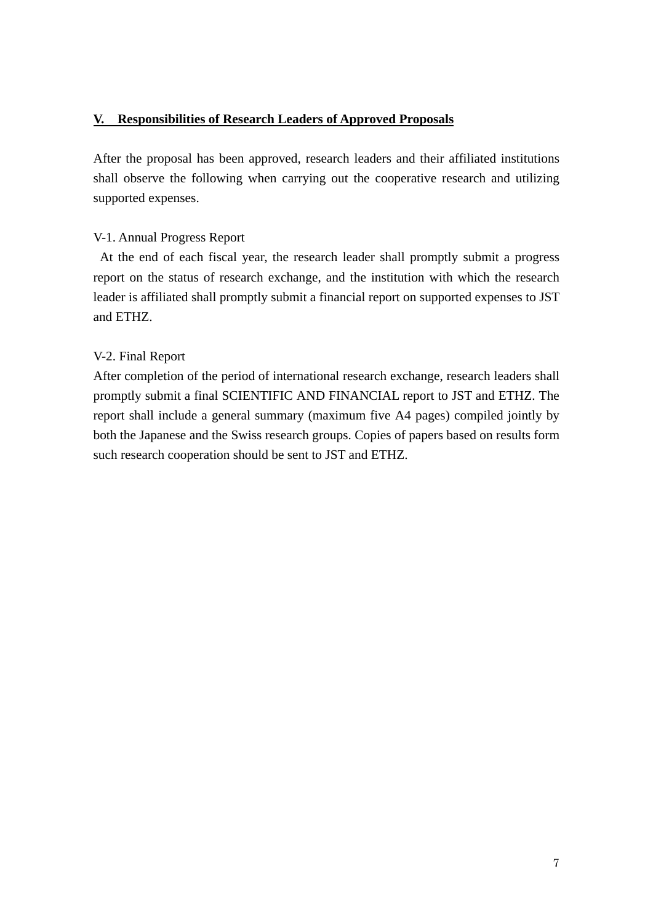## **V. Responsibilities of Research Leaders of Approved Proposals**

After the proposal has been approved, research leaders and their affiliated institutions shall observe the following when carrying out the cooperative research and utilizing supported expenses.

## V-1. Annual Progress Report

At the end of each fiscal year, the research leader shall promptly submit a progress report on the status of research exchange, and the institution with which the research leader is affiliated shall promptly submit a financial report on supported expenses to JST and ETHZ.

## V-2. Final Report

After completion of the period of international research exchange, research leaders shall promptly submit a final SCIENTIFIC AND FINANCIAL report to JST and ETHZ. The report shall include a general summary (maximum five A4 pages) compiled jointly by both the Japanese and the Swiss research groups. Copies of papers based on results form such research cooperation should be sent to JST and ETHZ.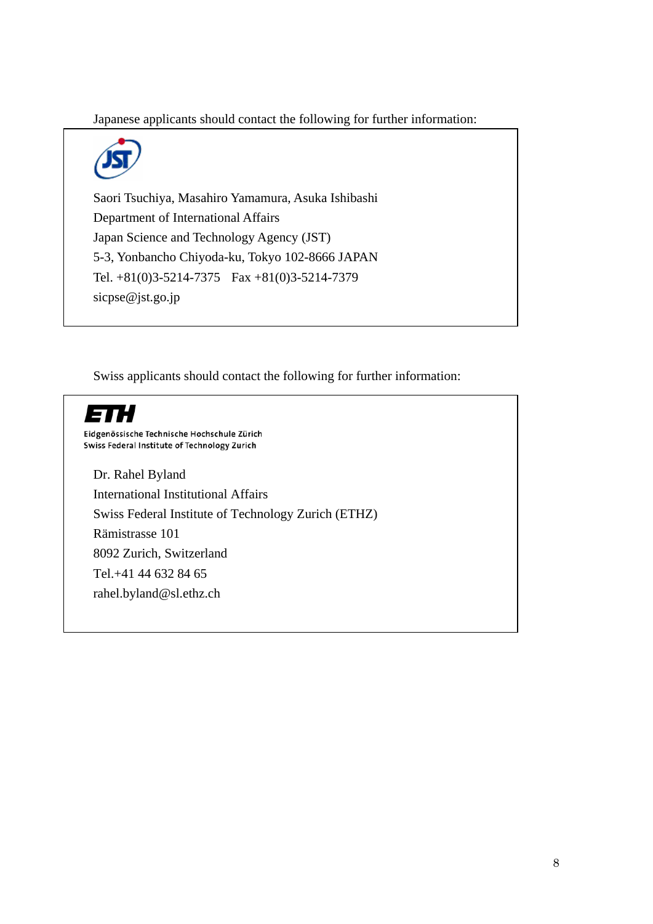Japanese applicants should contact the following for further information:



Saori Tsuchiya, Masahiro Yamamura, Asuka Ishibashi Department of International Affairs Japan Science and Technology Agency (JST) 5-3, Yonbancho Chiyoda-ku, Tokyo 102-8666 JAPAN Tel. +81(0)3-5214-7375 Fax +81(0)3-5214-7379 sicpse@jst.go.jp

Swiss applicants should contact the following for further information:



Eidgenössische Technische Hochschule Zürich<br>Swiss Federal Institute of Technology Zurich

Dr. Rahel Byland International Institutional Affairs Swiss Federal Institute of Technology Zurich (ETHZ) Rämistrasse 101 8092 Zurich, Switzerland Tel.+41 44 632 84 65 rahel.byland@sl.ethz.ch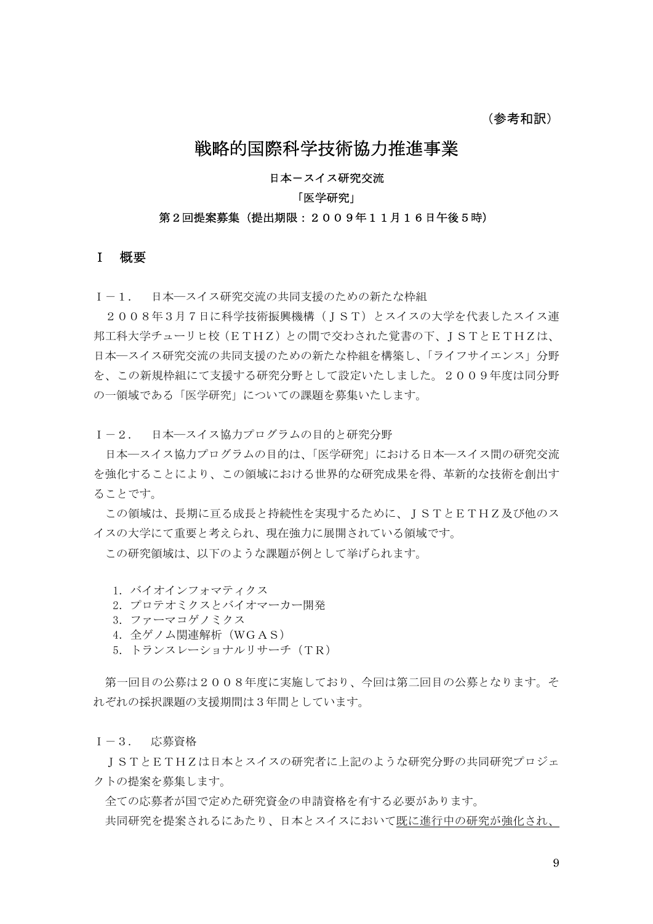# 戦略的国際科学技術協力推進事業

#### 日本ースイス研究交流

#### 「医学研究」

#### 第2回提案募集(提出期限:2009年11月16日午後5時)

#### I 概要

I-1. 日本―スイス研究交流の共同支援のための新たな枠組

2008年3月7日に科学技術振興機構(JST)とスイスの大学を代表したスイス連 邦工科大学チューリヒ校(ETHZ)との間で交わされた覚書の下、ISTとETHZは、 日本―スイス研究交流の共同支援のための新たな枠組を構築し、「ライフサイエンス」分野 を、この新規枠組にて支援する研究分野として設定いたしました。2009年度は同分野 の一領域である「医学研究」についての課題を募集いたします。

I-2. 日本―スイス協力プログラムの目的と研究分野

 日本―スイス協力プログラムの目的は、「医学研究」における日本―スイス間の研究交流 を強化することにより、この領域における世界的な研究成果を得、革新的な技術を創出す ることです。

この領域は、長期に亘る成長と持続性を実現するために、ISTとETHZ及び他のス イスの大学にて重要と考えられ、現在強力に展開されている領域です。

この研究領域は、以下のような課題が例として挙げられます。

- 1. バイオインフォマティクス
- 2.プロテオミクスとバイオマーカー開発
- 3.ファーマコゲノミクス
- 4.全ゲノム関連解析(WGAS)
- 5.トランスレーショナルリサーチ(TR)

 第一回目の公募は2008年度に実施しており、今回は第二回目の公募となります。そ れぞれの採択課題の支援期間は3年間としています。

I-3. 応募資格

 JSTとETHZは日本とスイスの研究者に上記のような研究分野の共同研究プロジェ クトの提案を募集します。

 全ての応募者が国で定めた研究資金の申請資格を有する必要があります。 共同研究を提案されるにあたり、日本とスイスにおいて既に進行中の研究が強化され、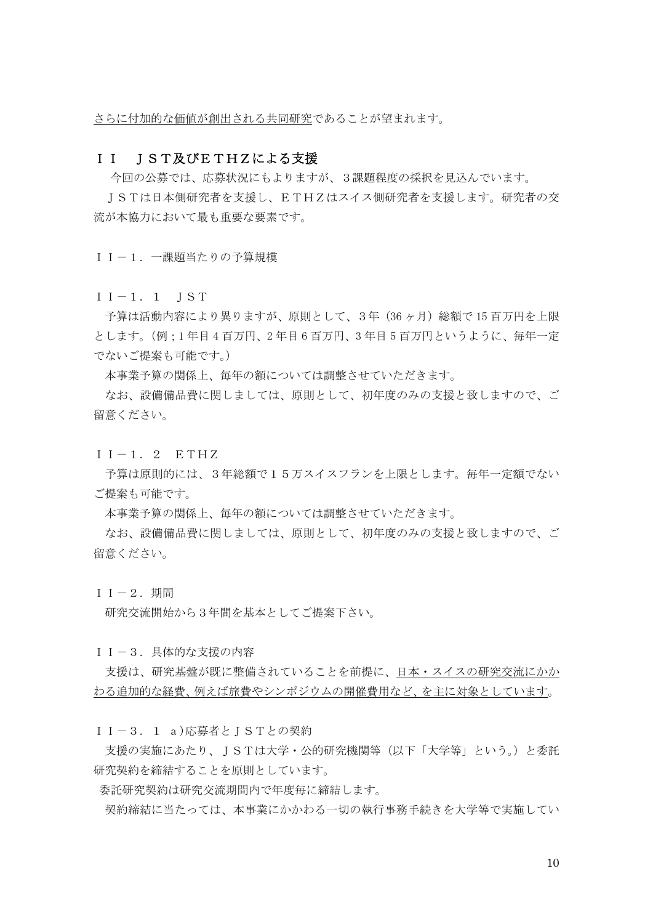さらに付加的な価値が創出される共同研究であることが望まれます。

#### II IST及びETHZによる支援

今回の公募では、応募状況にもよりますが、3課題程度の採択を見込んでいます。

JSTは日本側研究者を支援し、ETHZはスイス側研究者を支援します。研究者の交 流が本協力において最も重要な要素です。

II-1.一課題当たりの予算規模

 $I-I.1$  IST

予算は活動内容により異りますが、原則として、3年(36 ヶ月)総額で 15 百万円を上限 とします。(例;1 年目 4 百万円、2 年目 6 百万円、3 年目 5 百万円というように、毎年一定 でないご提案も可能です。)

本事業予算の関係上、毎年の額については調整させていただきます。

 なお、設備備品費に関しましては、原則として、初年度のみの支援と致しますので、ご 留意ください。

 $I-I.2$  ETHZ

予算は原則的には、3年総額で15万スイスフランを上限とします。毎年一定額でない ご提案も可能です。

本事業予算の関係上、毎年の額については調整させていただきます。

 なお、設備備品費に関しましては、原則として、初年度のみの支援と致しますので、ご 留意ください。

II $-2.$  期間

研究交流開始から3年間を基本としてご提案下さい。

II-3.具体的な支援の内容

支援は、研究基盤が既に整備されていることを前提に、日本・スイスの研究交流にかか わる追加的な経費、例えば旅費やシンポジウムの開催費用など、を主に対象としています。

II-3.1 a)応募者とJSTとの契約

 支援の実施にあたり、JSTは大学・公的研究機関等(以下「大学等」という。)と委託 研究契約を締結することを原則としています。

委託研究契約は研究交流期間内で年度毎に締結します。

契約締結に当たっては、本事業にかかわる一切の執行事務手続きを大学等で実施してい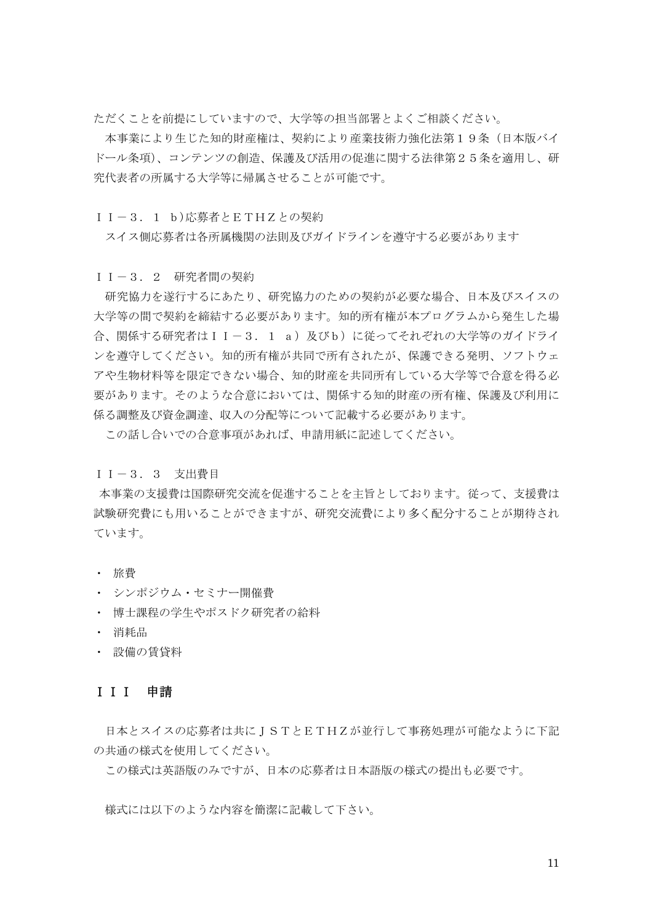ただくことを前提にしていますので、大学等の担当部署とよくご相談ください。

 本事業により生じた知的財産権は、契約により産業技術力強化法第19条(日本版バイ ドール条項)、コンテンツの創造、保護及び活用の促進に関する法律第25条を適用し、研 究代表者の所属する大学等に帰属させることが可能です。

II-3.1 b)応募者とETHZとの契約

スイス側応募者は各所属機関の法則及びガイドラインを導守する必要があります

II-3.2 研究者間の契約

 研究協力を遂行するにあたり、研究協力のための契約が必要な場合、日本及びスイスの 大学等の間で契約を締結する必要があります。知的所有権が本プログラムから発生した場 合、関係する研究者はII-3.1 a)及びb)に従ってそれぞれの大学等のガイドライ ンを遵守してください。知的所有権が共同で所有されたが、保護できる発明、ソフトウェ アや生物材料等を限定できない場合、知的財産を共同所有している大学等で合意を得る必 要があります。そのような合意においては、関係する知的財産の所有権、保護及び利用に 係る調整及び資金調達、収入の分配等について記載する必要があります。

この話し合いでの合意事項があれば、申請用紙に記述してください。

II-3.3 支出費目

本事業の支援費は国際研究交流を促進することを主旨としております。従って、支援費は 試験研究費にも用いることができますが、研究交流費により多く配分することが期待され ています。

- ・ 旅費
- ・ シンポジウム・セミナー開催費
- ・ 博士課程の学生やポスドク研究者の給料
- ・ 消耗品
- ・ 設備の賃貸料

#### III 申請

日本とスイスの応募者は共にJSTとETHZが並行して事務処理が可能なように下記 の共通の様式を使用してください。

この様式は英語版のみですが、日本の応募者は日本語版の様式の提出も必要です。

様式には以下のような内容を簡潔に記載して下さい。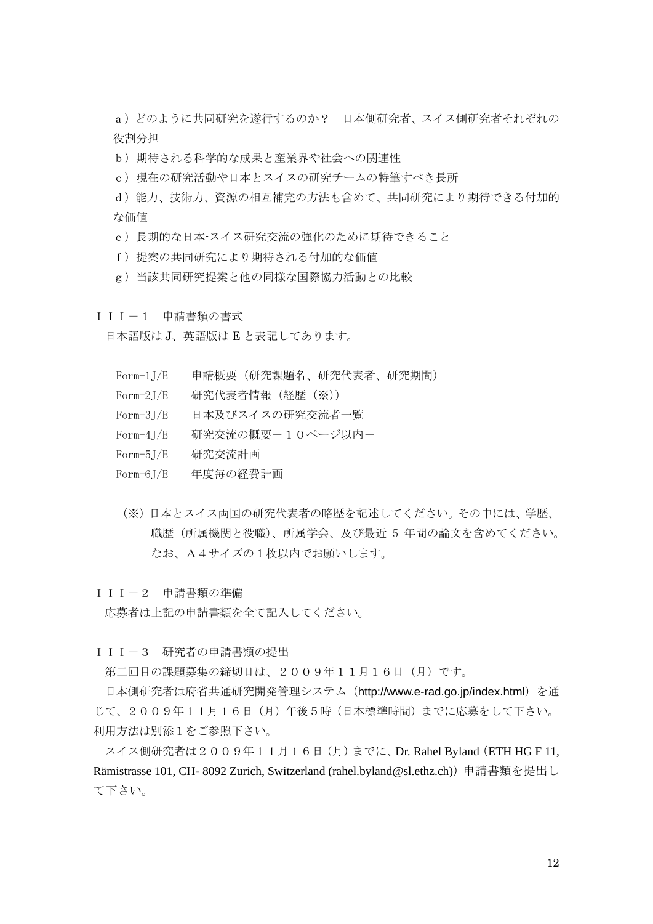a)どのように共同研究を遂行するのか? 日本側研究者、スイス側研究者それぞれの 役割分担

b)期待される科学的な成果と産業界や社会への関連性

c)現在の研究活動や日本とスイスの研究チームの特筆すべき長所

d)能力、技術力、資源の相互補完の方法も含めて、共同研究により期待できる付加的 な価値

e)長期的な日本-スイス研究交流の強化のために期待できること

- f)提案の共同研究により期待される付加的な価値
- g)当該共同研究提案と他の同様な国際協力活動との比較

III-1 申請書類の書式

日本語版は J、英語版は E と表記してあります。

- Form-1J/E 申請概要(研究課題名、研究代表者、研究期間)
- Form-2J/E 研究代表者情報(経歴(※))
- Form-3J/E 日本及びスイスの研究交流者一覧
- Form-4J/E 研究交流の概要-10ページ以内-
- Form-5J/E 研究交流計画
- Form-6J/E 年度毎の経費計画
- (※)日本とスイス両国の研究代表者の略歴を記述してください。その中には、学歴、 職歴(所属機関と役職)、所属学会、及び最近 5 年間の論文を含めてください。 なお、A4サイズの1枚以内でお願いします。

III-2 申請書類の準備

応募者は上記の申請書類を全て記入してください。

III-3 研究者の申請書類の提出

第二回目の課題募集の締切日は、2009年11月16日(月)です。

日本側研究者は府省共通研究開発管理システム (http://www.e-rad.go.jp/index.html) を通 じて、2009年11月16日(月)午後5時(日本標準時間)までに応募をして下さい。 利用方法は別添1をご参照下さい。

スイス側研究者は2009年11月16日(月)までに、Dr. Rahel Byland(ETH HG F 11, Rämistrasse 101, CH- 8092 Zurich, Switzerland (rahel.byland@sl.ethz.ch))申請書類を提出し て下さい。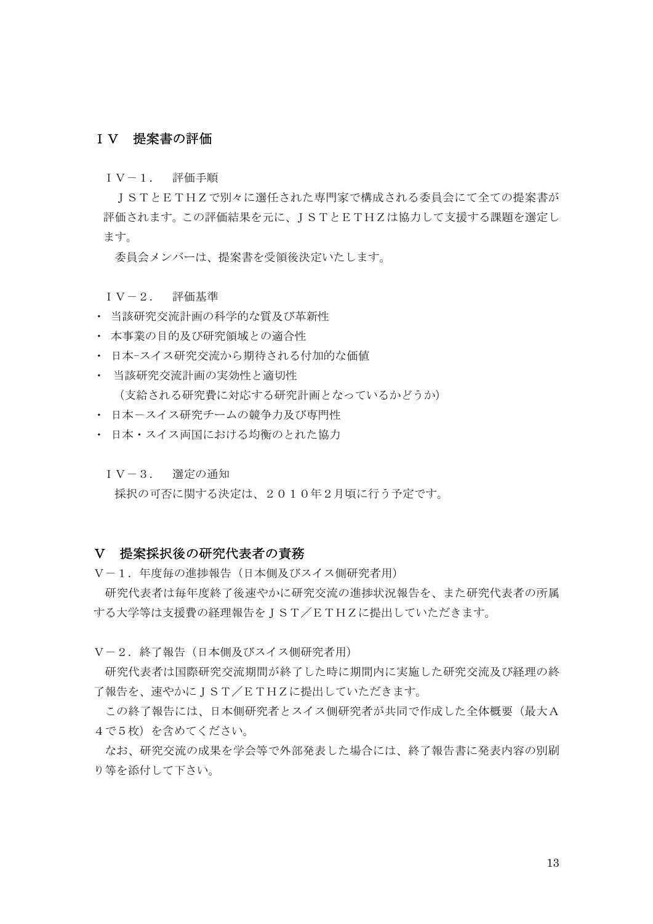### IV 提案書の評価

IV-1. 評価手順

 JSTとETHZで別々に選任された専門家で構成される委員会にて全ての提案書が 評価されます。この評価結果を元に、JSTとETHZは協力して支援する課題を選定し ます。

委員会メンバーは、提案書を受領後決定いたします。

- IV-2. 評価基準
- ・ 当該研究交流計画の科学的な質及び革新性
- ・ 本事業の目的及び研究領域との適合性
- ・ 日本-スイス研究交流から期待される付加的な価値
- ・ 当該研究交流計画の実効性と適切性 (支給される研究費に対応する研究計画となっているかどうか)
- ・ 日本-スイス研究チームの競争力及び専門性
- ・ 日本・スイス両国における均衡のとれた協力
	- IV-3. 選定の通知

採択の可否に関する決定は、2010年2月頃に行う予定です。

#### V 提案採択後の研究代表者の責務

V-1.年度毎の進捗報告(日本側及びスイス側研究者用)

 研究代表者は毎年度終了後速やかに研究交流の進捗状況報告を、また研究代表者の所属 する大学等は支援費の経理報告をJST/ETHZに提出していただきます。

V-2.終了報告(日本側及びスイス側研究者用)

 研究代表者は国際研究交流期間が終了した時に期間内に実施した研究交流及び経理の終 了報告を、速やかにJST/ETHZに提出していただきます。

この終了報告には、日本側研究者とスイス側研究者が共同で作成した全体概要(最大A 4で5枚)を含めてください。

なお、研究交流の成果を学会等で外部発表した場合には、終了報告書に発表内容の別刷 り等を添付して下さい。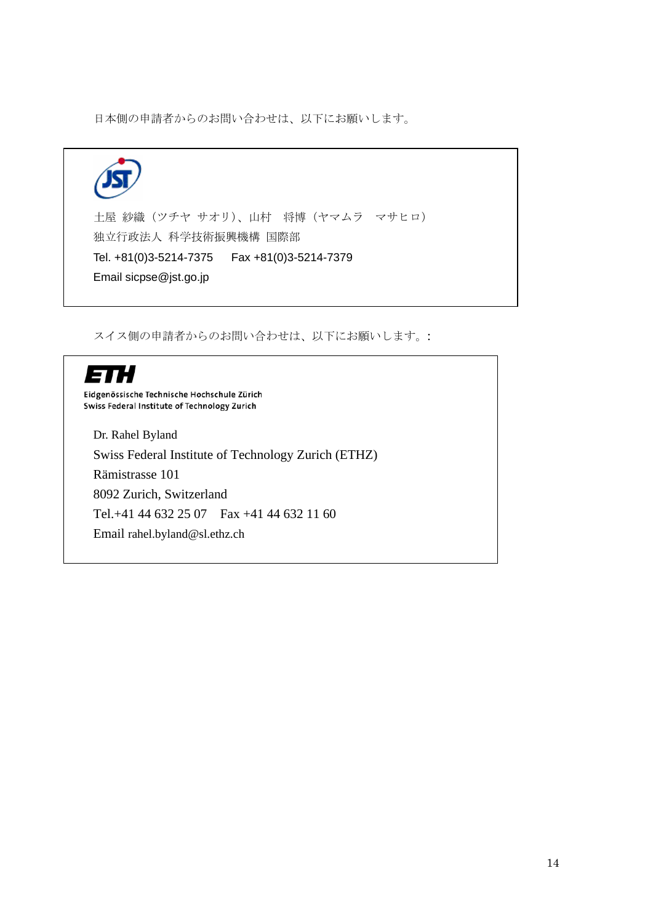日本側の申請者からのお問い合わせは、以下にお願いします。



スイス側の申請者からのお問い合わせは、以下にお願いします。:

# ETH

Eidgenössische Technische Hochschule Zürich<br>Swiss Federal Institute of Technology Zurich

Dr. Rahel Byland Swiss Federal Institute of Technology Zurich (ETHZ) Rämistrasse 101 8092 Zurich, Switzerland Tel.+41 44 632 25 07 Fax +41 44 632 11 60 Email rahel.byland@sl.ethz.ch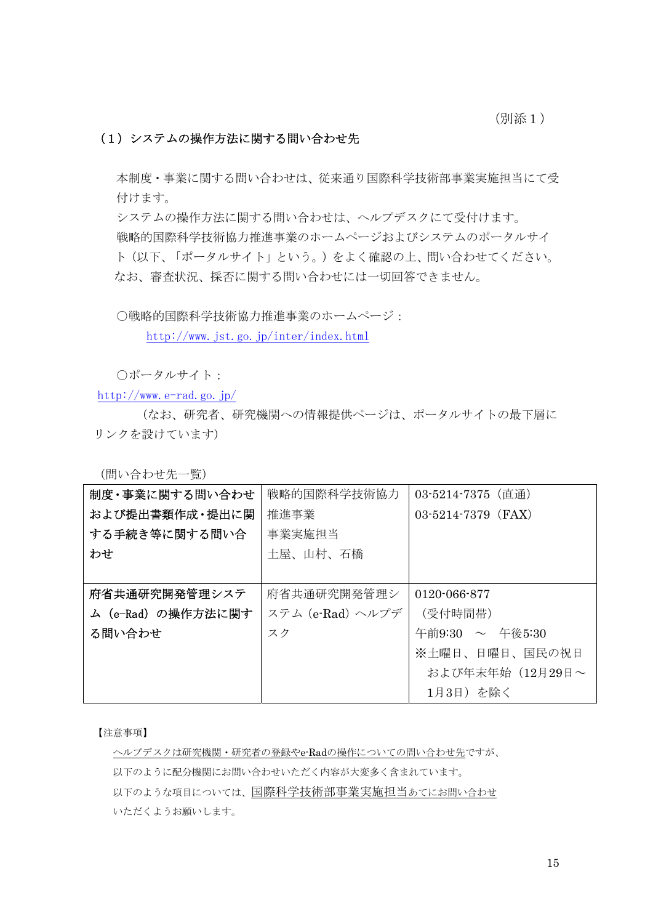(別添1)

## (1)システムの操作方法に関する問い合わせ先

本制度・事業に関する問い合わせは、従来通り国際科学技術部事業実施担当にて受 付けます。

システムの操作方法に関する問い合わせは、ヘルプデスクにて受付けます。 戦略的国際科学技術協力推進事業のホームページおよびシステムのポータルサイ ト(以下、「ポータルサイト」という。)をよく確認の上、問い合わせてください。 なお、審査状況、採否に関する問い合わせには一切回答できません。

○戦略的国際科学技術協力推進事業のホームページ:

<http://www.jst.go.jp/inter/index.html>

○ポータルサイト:

<http://www.e-rad.go.jp/>

(なお、研究者、研究機関への情報提供ページは、ポータルサイトの最下層に リンクを設けています)

(問い合わせ先一覧)

| 制度・事業に関する問い合わせ     | 戦略的国際科学技術協力      | 03-5214-7375 (直通)    |
|--------------------|------------------|----------------------|
| および提出書類作成・提出に関     | 推進事業             | $03-5214-7379$ (FAX) |
| する手続き等に関する問い合      | 事業実施担当           |                      |
| わせ                 | 土屋、山村、石橋         |                      |
|                    |                  |                      |
| 府省共通研究開発管理システ      | 府省共通研究開発管理シ      | 0120-066-877         |
| ム (e-Rad) の操作方法に関す | ステム (e-Rad) ヘルプデ | (受付時間帯)              |
| る問い合わせ             | スク               | 午前9:30 ~ 午後5:30      |
|                    |                  | ※土曜日、日曜日、国民の祝日       |
|                    |                  | および年末年始 (12月29日~     |
|                    |                  | 1月3日) を除く            |

【注意事項】

ヘルプデスクは研究機関・研究者の登録やe-Radの操作についての問い合わせ先ですが、 以下のように配分機関にお問い合わせいただく内容が大変多く含まれています。 以下のような項目については、国際科学技術部事業実施担当あてにお問い合わせ いただくようお願いします。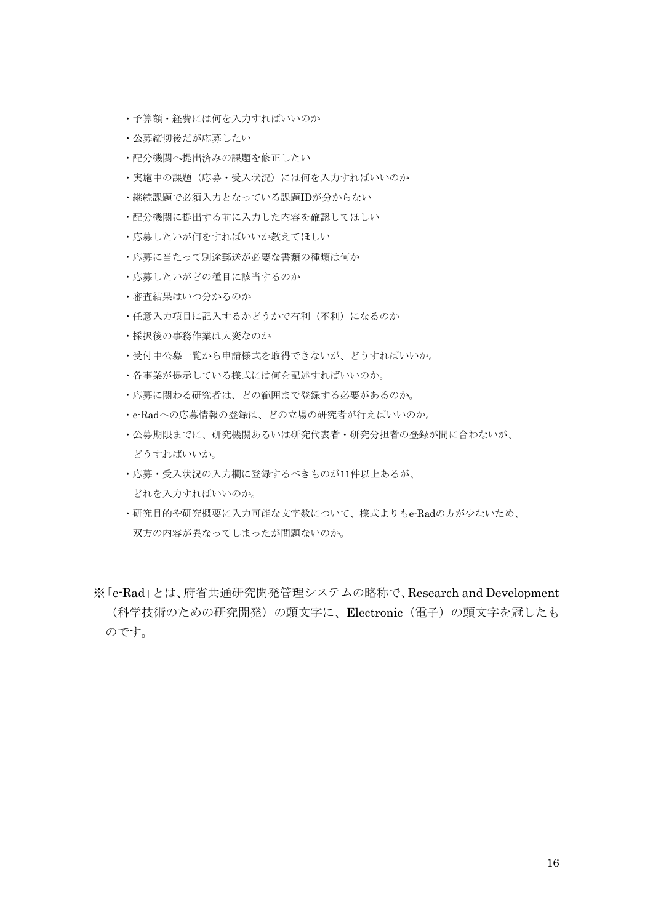- ・予算額・経費には何を入力すればいいのか
- ・公募締切後だが応募したい
- ・配分機関へ提出済みの課題を修正したい
- ・実施中の課題(応募・受入状況)には何を入力すればいいのか
- ・継続課題で必須入力となっている課題IDが分からない
- ・配分機関に提出する前に入力した内容を確認してほしい
- ・応募したいが何をすればいいか教えてほしい
- ・応募に当たって別途郵送が必要な書類の種類は何か
- ・応募したいがどの種目に該当するのか
- ・審査結果はいつ分かるのか
- ・任意入力項目に記入するかどうかで有利(不利)になるのか
- ・採択後の事務作業は大変なのか
- ・受付中公募一覧から申請様式を取得できないが、どうすればいいか。
- ・各事業が提示している様式には何を記述すればいいのか。
- ・応募に関わる研究者は、どの範囲まで登録する必要があるのか。
- ・e-Radへの応募情報の登録は、どの立場の研究者が行えばいいのか。
- ・公募期限までに、研究機関あるいは研究代表者・研究分担者の登録が間に合わないが、 どうすればいいか。
- ・応募・受入状況の入力欄に登録するべきものが11件以上あるが、 どれを入力すればいいのか。
- ・研究目的や研究概要に入力可能な文字数について、様式よりもe-Radの方が少ないため、 双方の内容が異なってしまったが問題ないのか。
- ※「e-Rad」とは、府省共通研究開発管理システムの略称で、Research and Development (科学技術のための研究開発)の頭文字に、Electronic(電子)の頭文字を冠したも のです。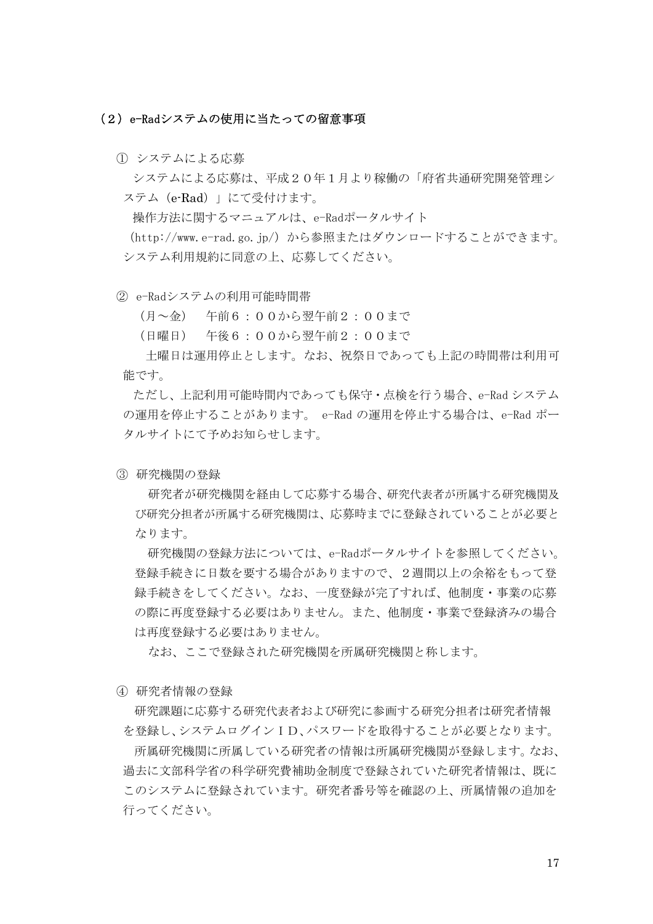#### (2)e-Radシステムの使用に当たっての留意事項

① システムによる応募

システムによる応募は、平成20年1月より稼働の「府省共通研究開発管理シ ステム(e-Rad)」にて受付けます。

操作方法に関するマニュアルは、e-Radポータルサイト

(http://www.e-rad.go.jp/)から参照またはダウンロードすることができます。 システム利用規約に同意の上、応募してください。

② e-Radシステムの利用可能時間帯

(月~金) 午前6:00から翌午前2:00まで

(日曜日) 午後6:00から翌午前2:00まで

土曜日は運用停止とします。なお、祝祭日であっても上記の時間帯は利用可 能です。

ただし、上記利用可能時間内であっても保守・点検を行う場合、e-Rad システム の運用を停止することがあります。 e-Rad の運用を停止する場合は、e-Rad ポー タルサイトにて予めお知らせします。

③ 研究機関の登録

研究者が研究機関を経由して応募する場合、研究代表者が所属する研究機関及 び研究分担者が所属する研究機関は、応募時までに登録されていることが必要と なります。

研究機関の登録方法については、e-Radポータルサイトを参照してください。 登録手続きに日数を要する場合がありますので、2週間以上の余裕をもって登 録手続きをしてください。なお、一度登録が完了すれば、他制度・事業の応募 の際に再度登録する必要はありません。また、他制度・事業で登録済みの場合 は再度登録する必要はありません。

なお、ここで登録された研究機関を所属研究機関と称します。

④ 研究者情報の登録

研究課題に応募する研究代表者および研究に参画する研究分担者は研究者情報 を登録し、システムログインID、パスワードを取得することが必要となります。 所属研究機関に所属している研究者の情報は所属研究機関が登録します。なお、 過去に文部科学省の科学研究費補助金制度で登録されていた研究者情報は、既に このシステムに登録されています。研究者番号等を確認の上、所属情報の追加を 行ってください。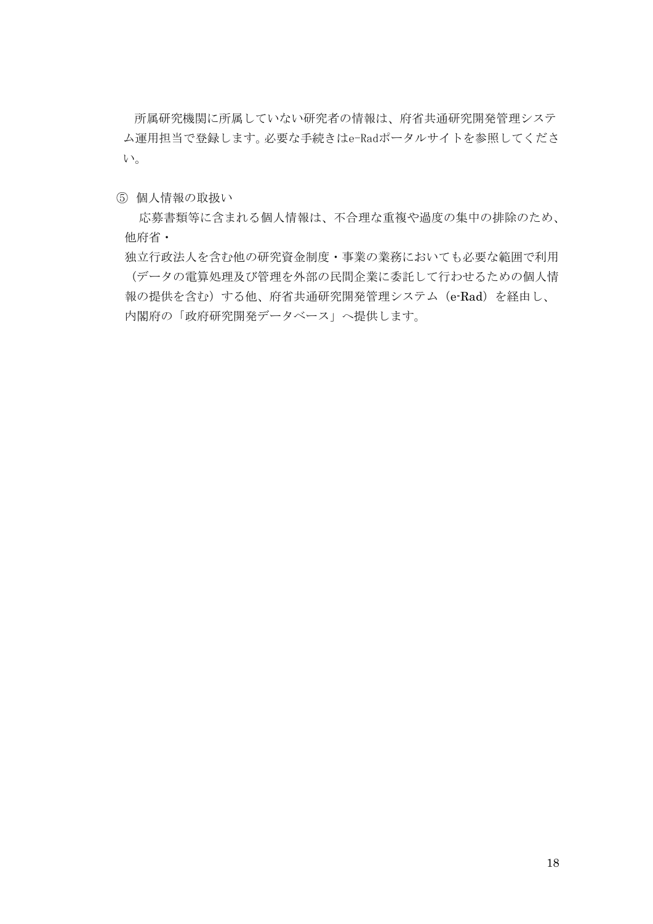所属研究機関に所属していない研究者の情報は、府省共通研究開発管理システ ム運用担当で登録します。必要な手続きはe-Radポータルサイトを参照してくださ い。

⑤ 個人情報の取扱い

応募書類等に含まれる個人情報は、不合理な重複や過度の集中の排除のため、 他府省・

独立行政法人を含む他の研究資金制度・事業の業務においても必要な範囲で利用 (データの電算処理及び管理を外部の民間企業に委託して行わせるための個人情 報の提供を含む)する他、府省共通研究開発管理システム(e-Rad)を経由し、 内閣府の「政府研究開発データベース」へ提供します。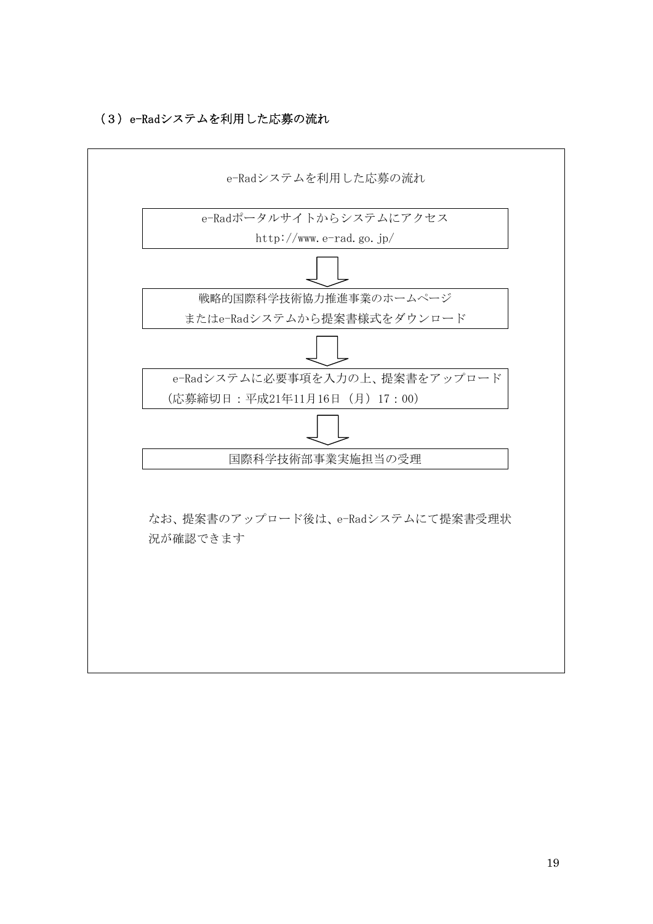

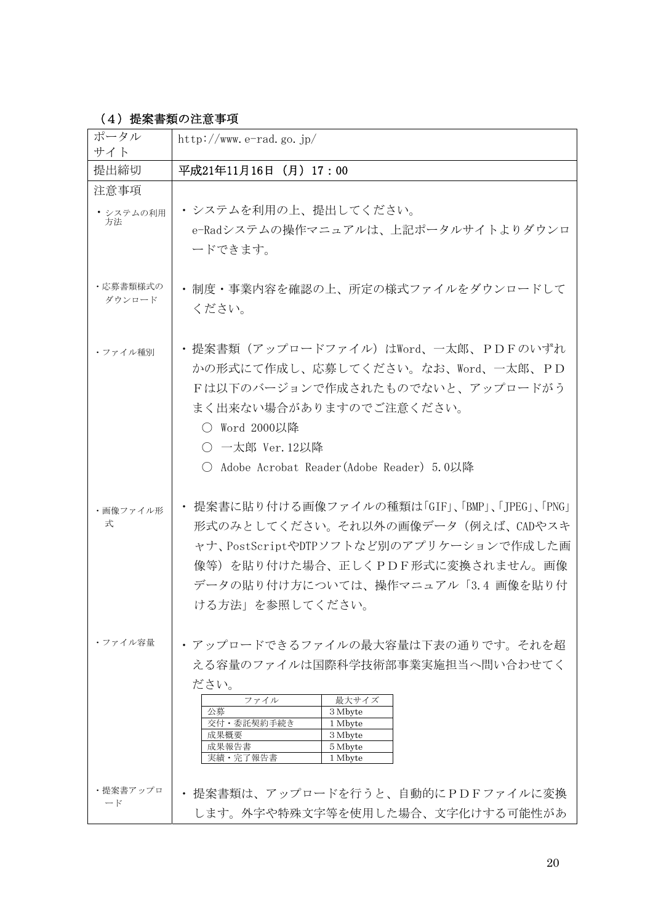# (4)提案書類の注意事項

| ポータル<br>サイト             | http://www.e-rad.go.jp/                                                                                                                                                                                                  |
|-------------------------|--------------------------------------------------------------------------------------------------------------------------------------------------------------------------------------------------------------------------|
| 提出締切                    | 平成21年11月16日 (月) 17:00                                                                                                                                                                                                    |
| 注意事項<br>• システムの利用<br>方法 | ・システムを利用の上、提出してください。<br>e-Radシステムの操作マニュアルは、上記ポータルサイトよりダウンロ<br>ードできます。                                                                                                                                                    |
| ・応募書類様式の<br>ダウンロード      | • 制度·事業内容を確認の上、所定の様式ファイルをダウンロードして<br>ください。                                                                                                                                                                               |
| ・ファイル種別                 | ・提案書類(アップロードファイル)はWord、一太郎、PDFのいずれ<br>かの形式にて作成し、応募してください。なお、Word、一太郎、PD<br>Fは以下のバージョンで作成されたものでないと、アップロードがう<br>まく出来ない場合がありますのでご注意ください。<br>○ Word 2000以降<br>○ 一太郎 Ver. 12以降<br>○ Adobe Acrobat Reader (Adobe Reader) 5.0以降 |
| ・画像ファイル形<br>式           | 提案書に貼り付ける画像ファイルの種類は「GIF」、「BMP」、「JPEG」、「PNG」<br>形式のみとしてください。それ以外の画像データ(例えば、CADやスキ<br>ャナ、PostScriptやDTPソフトなど別のアプリケーションで作成した画<br>像等)を貼り付けた場合、正しくPDF形式に変換されません。画像<br>データの貼り付け方については、操作マニュアル「3.4 画像を貼り付<br>ける方法」を参照してください。    |
| ・ファイル容量                 | ・アップロードできるファイルの最大容量は下表の通りです。それを超<br>える容量のファイルは国際科学技術部事業実施担当へ問い合わせてく<br>ださい。<br>最大サイズ<br>ファイル<br>公募<br>3 Mbyte<br>交付・委託契約手続き<br>1 Mbyte<br>成果概要<br>3 Mbyte<br>成果報告書<br>5 Mbyte<br>実績・完了報告書<br>1 Mbyte                     |
| ・提案書アップロ<br>$ \aleph$   | · 提案書類は、アップロードを行うと、自動的にPDFファイルに変換<br>します。外字や特殊文字等を使用した場合、文字化けする可能性があ                                                                                                                                                     |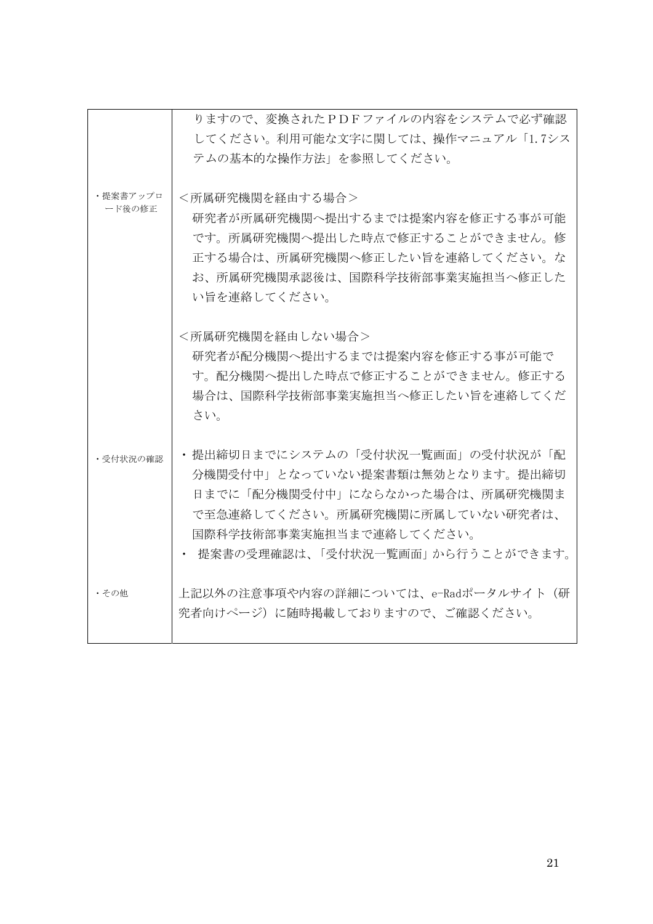|                    | りますので、変換されたPDFファイルの内容をシステムで必ず確認     |
|--------------------|-------------------------------------|
|                    | してください。利用可能な文字に関しては、操作マニュアル「1.7シス   |
|                    | テムの基本的な操作方法」を参照してください。              |
|                    |                                     |
| ・提案書アップロ<br>ード後の修正 | <所属研究機関を経由する場合>                     |
|                    | 研究者が所属研究機関へ提出するまでは提案内容を修正する事が可能     |
|                    | です。所属研究機関へ提出した時点で修正することができません。修     |
|                    | 正する場合は、所属研究機関へ修正したい旨を連絡してください。な     |
|                    | お、所属研究機関承認後は、国際科学技術部事業実施担当へ修正した     |
|                    | い旨を連絡してください。                        |
|                    |                                     |
|                    | <所属研究機関を経由しない場合>                    |
|                    | 研究者が配分機関へ提出するまでは提案内容を修正する事が可能で      |
|                    | す。配分機関へ提出した時点で修正することができません。修正する     |
|                    | 場合は、国際科学技術部事業実施担当へ修正したい旨を連絡してくだ     |
|                    | さい。                                 |
|                    | • 提出締切日までにシステムの「受付状況一覧画面」の受付状況が「配   |
| ・受付状況の確認           | 分機関受付中」となっていない提案書類は無効となります。提出締切     |
|                    | 日までに「配分機関受付中」にならなかった場合は、所属研究機関ま     |
|                    | で至急連絡してください。所属研究機関に所属していない研究者は、     |
|                    | 国際科学技術部事業実施担当まで連絡してください。            |
|                    | −提案書の受理確認は、「受付状況一覧画面」から行うことができます。   |
|                    |                                     |
| ・その他               | 上記以外の注意事項や内容の詳細については、e-Radポータルサイト(研 |
|                    | 究者向けページ)に随時掲載しておりますので、ご確認ください。      |
|                    |                                     |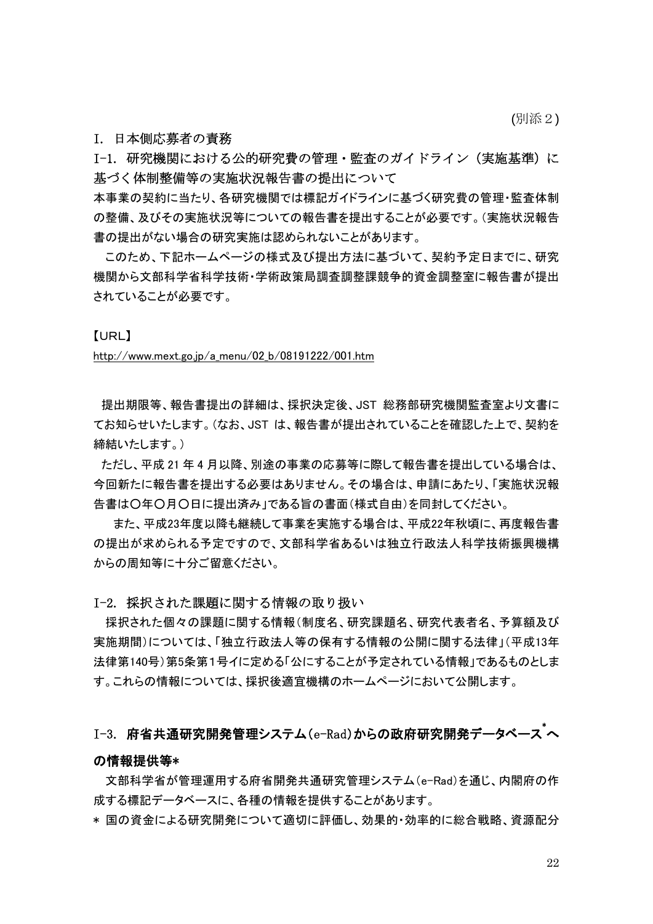(別添2)

#### I. 日本側応募者の責務

I-1. 研究機関における公的研究費の管理・監査のガイドライン (実施基準)に 基づく体制整備等の実施状況報告書の提出について

本事業の契約に当たり、各研究機関では標記ガイドラインに基づく研究費の管理・監査体制 の整備、及びその実施状況等についての報告書を提出することが必要です。(実施状況報告 書の提出がない場合の研究実施は認められないことがあります。

このため、下記ホームページの様式及び提出方法に基づいて、契約予定日までに、研究 機関から文部科学省科学技術・学術政策局調査調整課競争的資金調整室に報告書が提出 されていることが必要です。

#### 【URL】

#### [http://www.mext.go.jp/a\\_menu/02\\_b/08191222/001.htm](http://www.mext.go.jp/a_menu/02_b/08191222/001.htm)

 提出期限等、報告書提出の詳細は、採択決定後、JST 総務部研究機関監査室より文書に てお知らせいたします。(なお、JST は、報告書が提出されていることを確認した上で、契約を 締結いたします。)

 ただし、平成 21 年 4 月以降、別途の事業の応募等に際して報告書を提出している場合は、 今回新たに報告書を提出する必要はありません。その場合は、申請にあたり、「実施状況報 告書は○年○月○日に提出済み」である旨の書面(様式自由)を同封してください。

 また、平成23年度以降も継続して事業を実施する場合は、平成22年秋頃に、再度報告書 の提出が求められる予定ですので、文部科学省あるいは独立行政法人科学技術振興機構 からの周知等に十分ご留意ください。

#### I-2. 採択された課題に関する情報の取り扱い

採択された個々の課題に関する情報(制度名、研究課題名、研究代表者名、予算額及び 実施期間)については、「独立行政法人等の保有する情報の公開に関する法律」(平成13年 法律第140号)第5条第1号イに定める「公にすることが予定されている情報」であるものとしま す。これらの情報については、採択後適宜機構のホームページにおいて公開します。

# $I$ -3. 府省共通研究開発管理システム(e-Rad)からの政府研究開発データベース $^\ast$ へ

#### の情報提供等\*

文部科学省が管理運用する府省開発共通研究管理システム(e-Rad)を通じ、内閣府の作 成する標記データベースに、各種の情報を提供することがあります。

\* 国の資金による研究開発について適切に評価し、効果的・効率的に総合戦略、資源配分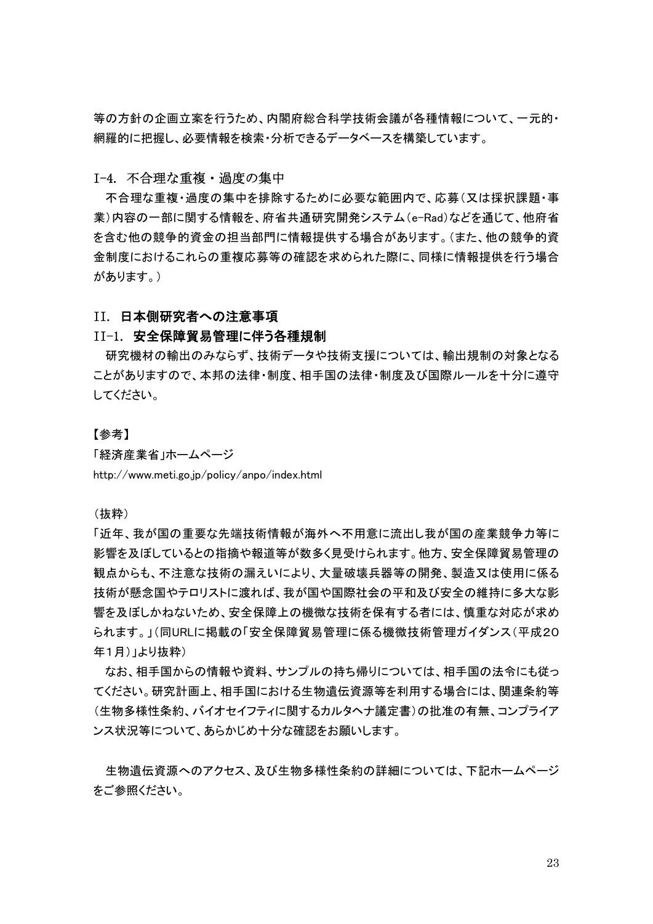等の方針の企画立案を行うため、内閣府総合科学技術会議が各種情報について、一元的・ 網羅的に把握し、必要情報を検索・分析できるデータベースを構築しています。

# I-4. 不合理な重複・過度の集中

不合理な重複・過度の集中を排除するために必要な範囲内で、応募(又は採択課題・事 業)内容の一部に関する情報を、府省共通研究開発システム(e-Rad)などを通じて、他府省 を含む他の競争的資金の担当部門に情報提供する場合があります。(また、他の競争的資 金制度におけるこれらの重複応募等の確認を求められた際に、同様に情報提供を行う場合 があります。)

#### II. 日本側研究者への注意事項

#### II-1. 安全保障貿易管理に伴う各種規制

研究機材の輸出のみならず、技術データや技術支援については、輸出規制の対象となる ことがありますので、本邦の法律・制度、相手国の法律・制度及び国際ルールを十分に遵守 してください。

#### 【参考】

「経済産業省」ホームページ http://www.meti.go.jp/policy/anpo/index.html

(抜粋)

「近年、我が国の重要な先端技術情報が海外へ不用意に流出し我が国の産業競争力等に 影響を及ぼしているとの指摘や報道等が数多く見受けられます。他方、安全保障貿易管理の 観点からも、不注意な技術の漏えいにより、大量破壊兵器等の開発、製造又は使用に係る 技術が懸念国やテロリストに渡れば、我が国や国際社会の平和及び安全の維持に多大な影 響を及ぼしかねないため、安全保障上の機微な技術を保有する者には、慎重な対応が求め られます。」(同URLに掲載の「安全保障貿易管理に係る機微技術管理ガイダンス(平成20 年1月)」より抜粋)

なお、相手国からの情報や資料、サンプルの持ち帰りについては、相手国の法令にも従っ てください。研究計画上、相手国における生物遺伝資源等を利用する場合には、関連条約等 (生物多様性条約、バイオセイフティに関するカルタヘナ議定書)の批准の有無、コンプライア ンス状況等について、あらかじめ十分な確認をお願いします。

生物遺伝資源へのアクセス、及び生物多様性条約の詳細については、下記ホームページ をご参照ください。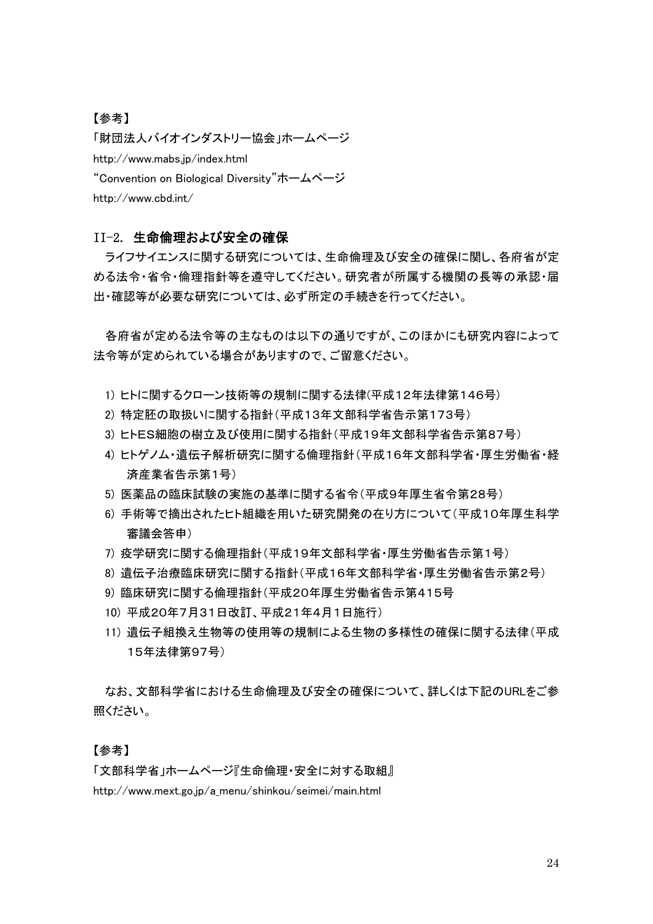## 【参考】

「財団法人バイオインダストリー協会」ホームページ http://www.mabs.jp/index.html "Convention on Biological Diversity"ホームページ http://www.cbd.int/

## II-2. 生命倫理および安全の確保

ライフサイエンスに関する研究については、生命倫理及び安全の確保に関し、各府省が定 める法令・省令・倫理指針等を遵守してください。研究者が所属する機関の長等の承認・届 出・確認等が必要な研究については、必ず所定の手続きを行ってください。

各府省が定める法令等の主なものは以下の通りですが、このほかにも研究内容によって 法令等が定められている場合がありますので、ご留意ください。

- 1) ヒトに関するクローン技術等の規制に関する法律(平成12年法律第146号)
- 2) 特定胚の取扱いに関する指針(平成13年文部科学省告示第173号)
- 3) ヒトES細胞の樹立及び使用に関する指針(平成19年文部科学省告示第87号)
- 4) ヒトゲノム・遺伝子解析研究に関する倫理指針(平成16年文部科学省・厚生労働省・経 済産業省告示第1号)
- 5) 医薬品の臨床試験の実施の基準に関する省令(平成9年厚生省令第28号)
- 6) 手術等で摘出されたヒト組織を用いた研究開発の在り方について(平成10年厚生科学 審議会答申)
- 7) 疫学研究に関する倫理指針(平成19年文部科学省・厚生労働省告示第1号)
- 8) 遺伝子治療臨床研究に関する指針(平成16年文部科学省・厚生労働省告示第2号)
- 9) 臨床研究に関する倫理指針(平成20年厚生労働省告示第415号
- 10) 平成20年7月31日改訂、平成21年4月1日施行)
- 11) 遺伝子組換え生物等の使用等の規制による生物の多様性の確保に関する法律(平成 15年法律第97号)

なお、文部科学省における生命倫理及び安全の確保について、詳しくは下記のURLをご参 照ください。

#### 【参考】

「文部科学省」ホームページ『生命倫理・安全に対する取組』

http://www.mext.go.jp/a\_menu/shinkou/seimei/main.html